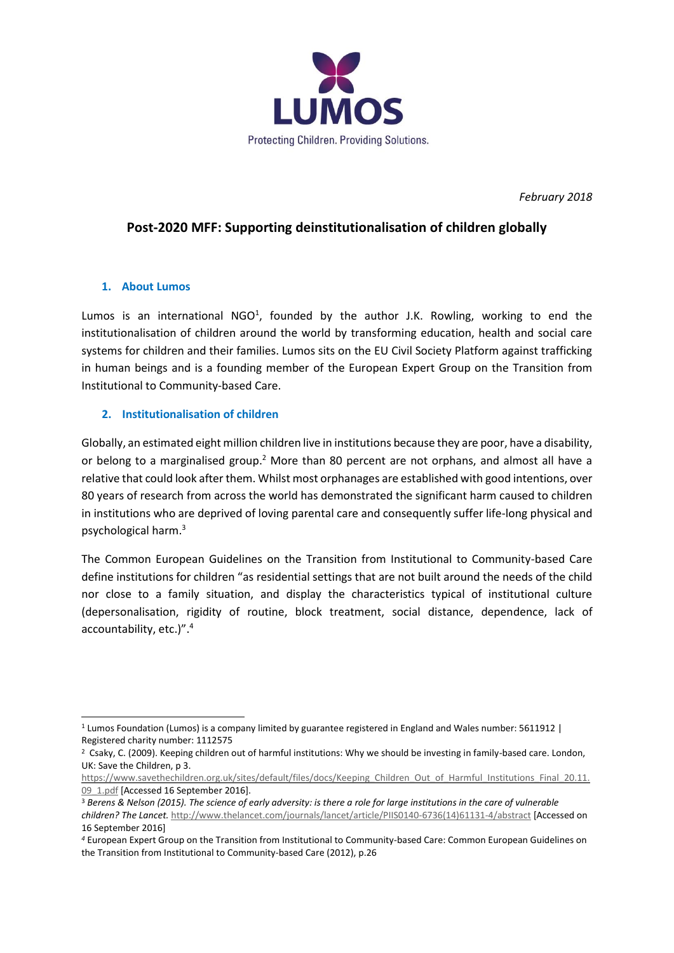

*February 2018*

# **Post-2020 MFF: Supporting deinstitutionalisation of children globally**

#### **1. About Lumos**

Lumos is an international NGO<sup>1</sup>, founded by the author J.K. Rowling, working to end the institutionalisation of children around the world by transforming education, health and social care systems for children and their families. Lumos sits on the EU Civil Society Platform against trafficking in human beings and is a founding member of the European Expert Group on the Transition from Institutional to Community-based Care.

#### **2. Institutionalisation of children**

Globally, an estimated eight million children live in institutions because they are poor, have a disability, or belong to a marginalised group.<sup>2</sup> More than 80 percent are not orphans, and almost all have a relative that could look after them. Whilst most orphanages are established with good intentions, over 80 years of research from across the world has demonstrated the significant harm caused to children in institutions who are deprived of loving parental care and consequently suffer life-long physical and psychological harm.<sup>3</sup>

The Common European Guidelines on the Transition from Institutional to Community-based Care define institutions for children "as residential settings that are not built around the needs of the child nor close to a family situation, and display the characteristics typical of institutional culture (depersonalisation, rigidity of routine, block treatment, social distance, dependence, lack of accountability, etc.)".<sup>4</sup>

<sup>1</sup> Lumos Foundation (Lumos) is a company limited by guarantee registered in England and Wales number: 5611912 | Registered charity number: 1112575

<sup>2</sup> Csaky, C. (2009). Keeping children out of harmful institutions: Why we should be investing in family-based care. London, UK: Save the Children, p 3.

[https://www.savethechildren.org.uk/sites/default/files/docs/Keeping\\_Children\\_Out\\_of\\_Harmful\\_Institutions\\_Final\\_20.11.](https://www.savethechildren.org.uk/sites/default/files/docs/Keeping_Children_Out_of_Harmful_Institutions_Final_20.11.09_1.pdf) 09 1.pdf [Accessed 16 September 2016].

<sup>3</sup> *Berens & Nelson (2015). The science of early adversity: is there a role for large institutions in the care of vulnerable children? The Lancet.* [http://www.thelancet.com/journals/lancet/article/PIIS0140-6736\(14\)61131-4/abstract](http://www.thelancet.com/journals/lancet/article/PIIS0140-6736(14)61131-4/abstract) [Accessed on 16 September 2016]

*<sup>4</sup>* European Expert Group on the Transition from Institutional to Community-based Care: Common European Guidelines on the Transition from Institutional to Community-based Care (2012), p.26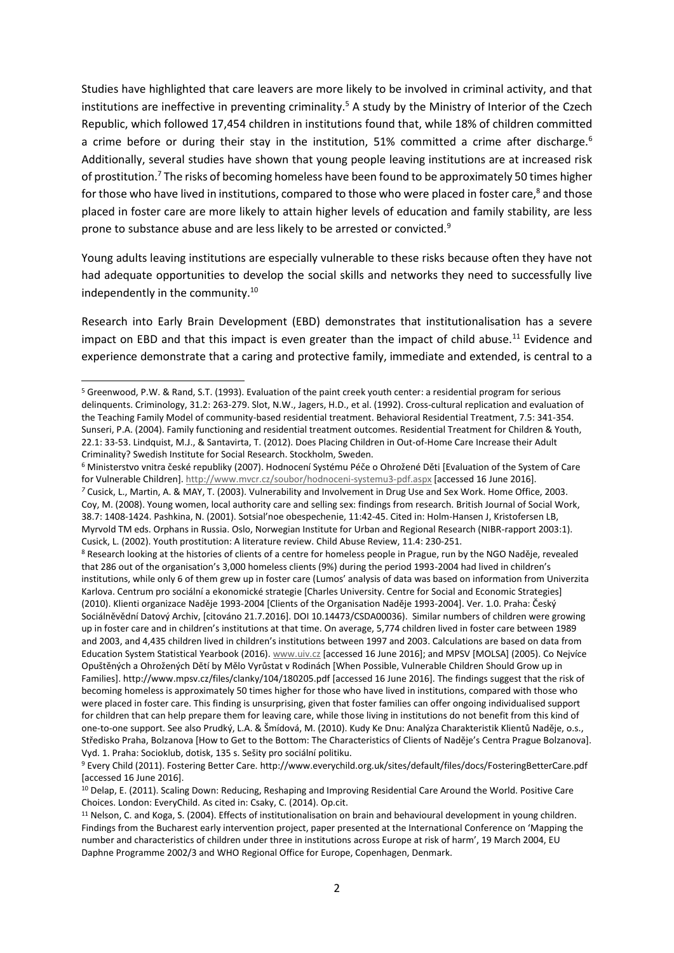Studies have highlighted that care leavers are more likely to be involved in criminal activity, and that institutions are ineffective in preventing criminality.<sup>5</sup> A study by the Ministry of Interior of the Czech Republic, which followed 17,454 children in institutions found that, while 18% of children committed a crime before or during their stay in the institution, 51% committed a crime after discharge.<sup>6</sup> Additionally, several studies have shown that young people leaving institutions are at increased risk of prostitution.<sup>7</sup> The risks of becoming homeless have been found to be approximately 50 times higher for those who have lived in institutions, compared to those who were placed in foster care,<sup>8</sup> and those placed in foster care are more likely to attain higher levels of education and family stability, are less prone to substance abuse and are less likely to be arrested or convicted.<sup>9</sup>

Young adults leaving institutions are especially vulnerable to these risks because often they have not had adequate opportunities to develop the social skills and networks they need to successfully live independently in the community.<sup>10</sup>

Research into Early Brain Development (EBD) demonstrates that institutionalisation has a severe impact on EBD and that this impact is even greater than the impact of child abuse.<sup>11</sup> Evidence and experience demonstrate that a caring and protective family, immediate and extended, is central to a

<sup>5</sup> Greenwood, P.W. & Rand, S.T. (1993). Evaluation of the paint creek youth center: a residential program for serious delinquents. Criminology, 31.2: 263-279. Slot, N.W., Jagers, H.D., et al. (1992). Cross-cultural replication and evaluation of the Teaching Family Model of community-based residential treatment. Behavioral Residential Treatment, 7.5: 341-354. Sunseri, P.A. (2004). Family functioning and residential treatment outcomes. Residential Treatment for Children & Youth, 22.1: 33-53. Lindquist, M.J., & Santavirta, T. (2012). Does Placing Children in Out-of-Home Care Increase their Adult Criminality? Swedish Institute for Social Research. Stockholm, Sweden.

<sup>6</sup> Ministerstvo vnitra české republiky (2007). Hodnocení Systému Péče o Ohrožené Děti [Evaluation of the System of Care for Vulnerable Children][. http://www.mvcr.cz/soubor/hodnoceni-systemu3-pdf.aspx](http://www.mvcr.cz/soubor/hodnoceni-systemu3-pdf.aspx) [accessed 16 June 2016]. *<sup>7</sup>* Cusick, L., Martin, A. & MAY, T. (2003). Vulnerability and Involvement in Drug Use and Sex Work. Home Office, 2003. Coy, M. (2008). Young women, local authority care and selling sex: findings from research. British Journal of Social Work, 38.7: 1408-1424. Pashkina, N. (2001). Sotsial'noe obespechenie, 11:42-45. Cited in: Holm-Hansen J, Kristofersen LB, Myrvold TM eds. Orphans in Russia. Oslo, Norwegian Institute for Urban and Regional Research (NIBR-rapport 2003:1). Cusick, L. (2002). Youth prostitution: A literature review. Child Abuse Review, 11.4: 230-251.

<sup>8</sup> Research looking at the histories of clients of a centre for homeless people in Prague, run by the NGO Naděje, revealed that 286 out of the organisation's 3,000 homeless clients (9%) during the period 1993-2004 had lived in children's institutions, while only 6 of them grew up in foster care (Lumos' analysis of data was based on information from Univerzita Karlova. Centrum pro sociální a ekonomické strategie [Charles University. Centre for Social and Economic Strategies] (2010). Klienti organizace Naděje 1993-2004 [Clients of the Organisation Naděje 1993-2004]. Ver. 1.0. Praha: Český Sociálněvědní Datový Archiv, [citováno 21.7.2016]. DOI 10.14473/CSDA00036). Similar numbers of children were growing up in foster care and in children's institutions at that time. On average, 5,774 children lived in foster care between 1989 and 2003, and 4,435 children lived in children's institutions between 1997 and 2003. Calculations are based on data from Education System Statistical Yearbook (2016)[. www.uiv.cz](http://www.uiv.cz/) [accessed 16 June 2016]; and MPSV [MOLSA] (2005). Co Nejvíce Opuštěných a Ohrožených Dětí by Mělo Vyrůstat v Rodinách [When Possible, Vulnerable Children Should Grow up in Families].<http://www.mpsv.cz/files/clanky/104/180205.pdf> [accessed 16 June 2016]. The findings suggest that the risk of becoming homeless is approximately 50 times higher for those who have lived in institutions, compared with those who were placed in foster care. This finding is unsurprising, given that foster families can offer ongoing individualised support for children that can help prepare them for leaving care, while those living in institutions do not benefit from this kind of one-to-one support. See also Prudký, L.A. & Šmídová, M. (2010). Kudy Ke Dnu: Analýza Charakteristik Klientů Naděje, o.s., Středisko Praha, Bolzanova [How to Get to the Bottom: The Characteristics of Clients of Naděje's Centra Prague Bolzanova]. Vyd. 1. Praha: Socioklub, dotisk, 135 s. Sešity pro sociální politiku.

<sup>9</sup> Every Child (2011). Fostering Better Care. <http://www.everychild.org.uk/sites/default/files/docs/FosteringBetterCare.pdf> [accessed 16 June 2016].

<sup>10</sup> Delap, E. (2011). Scaling Down: Reducing, Reshaping and Improving Residential Care Around the World. Positive Care Choices. London: EveryChild. As cited in: Csaky, C. (2014). Op.cit.

<sup>11</sup> Nelson, C. and Koga, S. (2004). Effects of institutionalisation on brain and behavioural development in young children. Findings from the Bucharest early intervention project, paper presented at the International Conference on 'Mapping the number and characteristics of children under three in institutions across Europe at risk of harm', 19 March 2004, EU Daphne Programme 2002/3 and WHO Regional Office for Europe, Copenhagen, Denmark.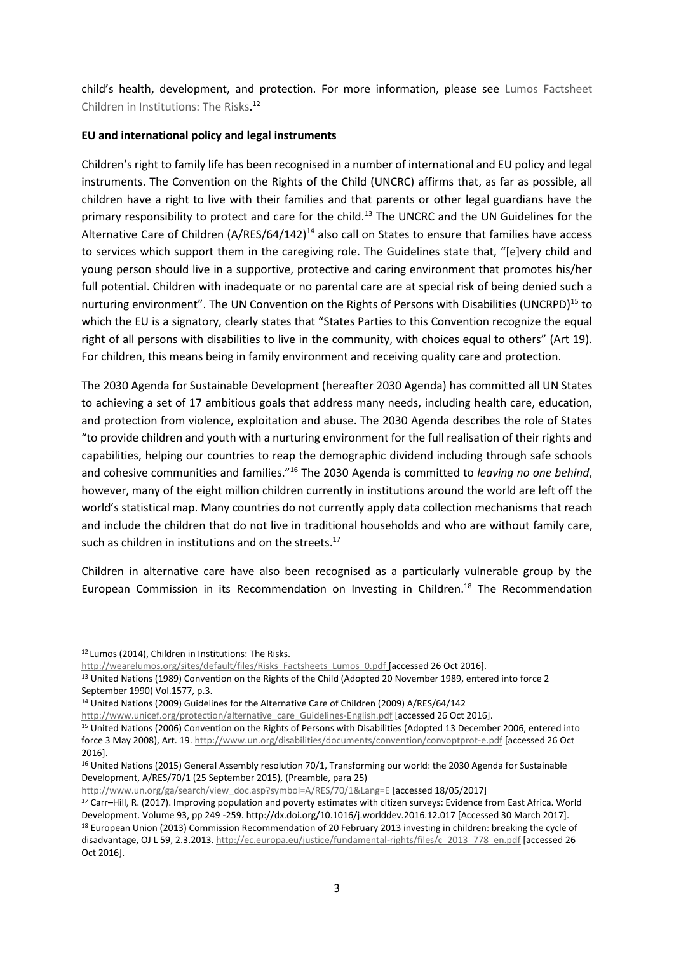child's health, development, and protection. For more information, please see [Lumos Factsheet](https://wearelumos.org/sites/default/files/Risks_Factsheets_Lumos_0.pdf)  [Children in Institutions: The Risks.](https://wearelumos.org/sites/default/files/Risks_Factsheets_Lumos_0.pdf) 12

#### **EU and international policy and legal instruments**

Children's right to family life has been recognised in a number of international and EU policy and legal instruments. The Convention on the Rights of the Child (UNCRC) affirms that, as far as possible, all children have a right to live with their families and that parents or other legal guardians have the primary responsibility to protect and care for the child.<sup>13</sup> The UNCRC and the UN Guidelines for the Alternative Care of Children  $(A/RES/64/142)^{14}$  also call on States to ensure that families have access to services which support them in the caregiving role. The Guidelines state that, "[e]very child and young person should live in a supportive, protective and caring environment that promotes his/her full potential. Children with inadequate or no parental care are at special risk of being denied such a nurturing environment". The UN Convention on the Rights of Persons with Disabilities (UNCRPD)<sup>15</sup> to which the EU is a signatory, clearly states that "States Parties to this Convention recognize the equal right of all persons with disabilities to live in the community, with choices equal to others" (Art 19). For children, this means being in family environment and receiving quality care and protection.

The 2030 Agenda for Sustainable Development (hereafter 2030 Agenda) has committed all UN States to achieving a set of 17 ambitious goals that address many needs, including health care, education, and protection from violence, exploitation and abuse. The 2030 Agenda describes the role of States "to provide children and youth with a nurturing environment for the full realisation of their rights and capabilities, helping our countries to reap the demographic dividend including through safe schools and cohesive communities and families."<sup>16</sup> The 2030 Agenda is committed to *leaving no one behind*, however, many of the eight million children currently in institutions around the world are left off the world's statistical map. Many countries do not currently apply data collection mechanisms that reach and include the children that do not live in traditional households and who are without family care, such as children in institutions and on the streets.<sup>17</sup>

Children in alternative care have also been recognised as a particularly vulnerable group by the European Commission in its Recommendation on Investing in Children.<sup>18</sup> The Recommendation

<sup>12</sup> Lumos (2014), Children in Institutions: The Risks.

[http://wearelumos.org/sites/default/files/Risks\\_Factsheets\\_Lumos\\_0.pdf](http://wearelumos.org/sites/default/files/Risks_Factsheets_Lumos_0.pdf) [accessed 26 Oct 2016].

<sup>&</sup>lt;sup>13</sup> United Nations (1989) Convention on the Rights of the Child (Adopted 20 November 1989, entered into force 2 September 1990) Vol.1577, p.3.

<sup>14</sup> United Nations (2009) Guidelines for the Alternative Care of Children (2009) A/RES/64/142

[http://www.unicef.org/protection/alternative\\_care\\_Guidelines-English.pdf](http://www.unicef.org/protection/alternative_care_Guidelines-English.pdf) [accessed 26 Oct 2016].

<sup>15</sup> United Nations (2006) Convention on the Rights of Persons with Disabilities (Adopted 13 December 2006, entered into force 3 May 2008), Art. 19[. http://www.un.org/disabilities/documents/convention/convoptprot-e.pdf](http://www.un.org/disabilities/documents/convention/convoptprot-e.pdf) [accessed 26 Oct 2016].

<sup>&</sup>lt;sup>16</sup> United Nations (2015) General Assembly resolution 70/1, Transforming our world: the 2030 Agenda for Sustainable Development, A/RES/70/1 (25 September 2015), (Preamble, para 25)

[http://www.un.org/ga/search/view\\_doc.asp?symbol=A/RES/70/1&Lang=E](http://www.un.org/ga/search/view_doc.asp?symbol=A/RES/70/1&Lang=E) [accessed 18/05/2017]

*<sup>17</sup>* Carr–Hill, R. (2017). Improving population and poverty estimates with citizen surveys: Evidence from East Africa. World Development. Volume 93, pp 249 -259[. http://dx.doi.org/10.1016/j.worlddev.2016.12.017](http://dx.doi.org/10.1016/j.worlddev.2016.12.017) [Accessed 30 March 2017]. <sup>18</sup> European Union (2013) Commission Recommendation of 20 February 2013 investing in children: breaking the cycle of disadvantage, OJ L 59, 2.3.2013[. http://ec.europa.eu/justice/fundamental-rights/files/c\\_2013\\_778\\_en.pdf](http://ec.europa.eu/justice/fundamental-rights/files/c_2013_778_en.pdf) [accessed 26 Oct 2016].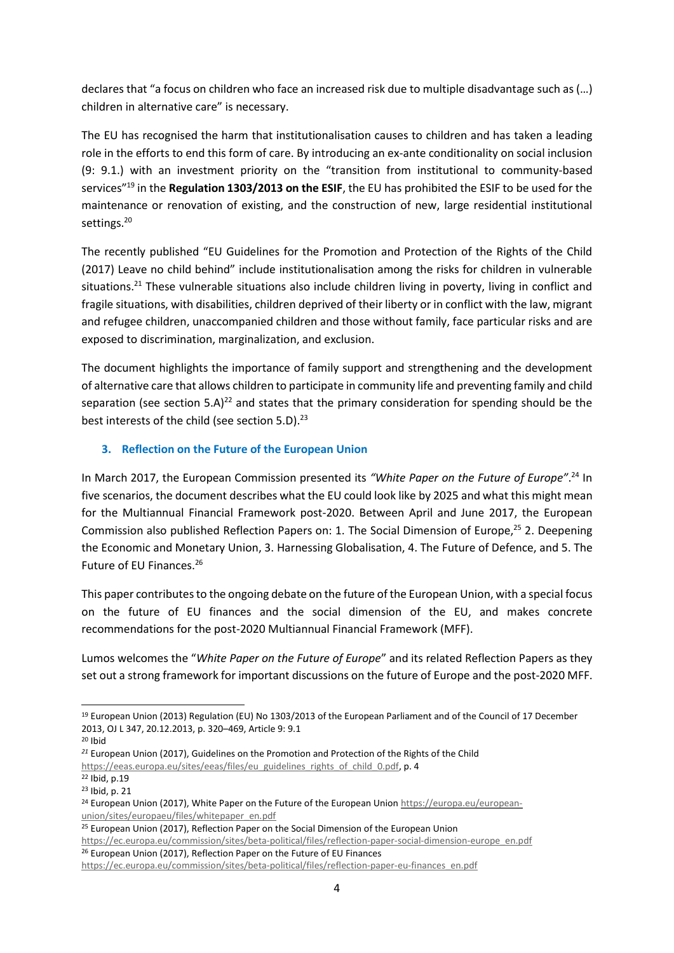declares that "a focus on children who face an increased risk due to multiple disadvantage such as (…) children in alternative care" is necessary.

The EU has recognised the harm that institutionalisation causes to children and has taken a leading role in the efforts to end this form of care. By introducing an ex-ante conditionality on social inclusion (9: 9.1.) with an investment priority on the "transition from institutional to community-based services"<sup>19</sup> in the **Regulation 1303/2013 on the ESIF**, the EU has prohibited the ESIF to be used for the maintenance or renovation of existing, and the construction of new, large residential institutional settings.<sup>20</sup>

The recently published "EU Guidelines for the Promotion and Protection of the Rights of the Child (2017) Leave no child behind" include institutionalisation among the risks for children in vulnerable situations.<sup>21</sup> These vulnerable situations also include children living in poverty, living in conflict and fragile situations, with disabilities, children deprived of their liberty or in conflict with the law, migrant and refugee children, unaccompanied children and those without family, face particular risks and are exposed to discrimination, marginalization, and exclusion.

The document highlights the importance of family support and strengthening and the development of alternative care that allows children to participate in community life and preventing family and child separation (see section 5.A)<sup>22</sup> and states that the primary consideration for spending should be the best interests of the child (see section 5.D).<sup>23</sup>

#### **3. Reflection on the Future of the European Union**

In March 2017, the European Commission presented its *"White Paper on the Future of Europe"*. <sup>24</sup> In five scenarios, the document describes what the EU could look like by 2025 and what this might mean for the Multiannual Financial Framework post-2020. Between April and June 2017, the European Commission also published Reflection Papers on: 1. The Social Dimension of Europe,<sup>25</sup> 2. Deepening the Economic and Monetary Union, 3. Harnessing Globalisation, 4. The Future of Defence, and 5. The Future of EU Finances.<sup>26</sup>

This paper contributes to the ongoing debate on the future of the European Union, with a special focus on the future of EU finances and the social dimension of the EU, and makes concrete recommendations for the post-2020 Multiannual Financial Framework (MFF).

Lumos welcomes the "*White Paper on the Future of Europe*" and its related Reflection Papers as they set out a strong framework for important discussions on the future of Europe and the post-2020 MFF.

<sup>26</sup> European Union (2017), Reflection Paper on the Future of EU Finances

 <sup>19</sup> European Union (2013) Regulation (EU) No 1303/2013 of the European Parliament and of the Council of 17 December 2013, OJ L 347, 20.12.2013, p. 320–469, Article 9: 9.1

 $20$  Ibid

*<sup>21</sup>* European Union (2017), Guidelines on the Promotion and Protection of the Rights of the Child [https://eeas.europa.eu/sites/eeas/files/eu\\_guidelines\\_rights\\_of\\_child\\_0.pdf,](https://eeas.europa.eu/sites/eeas/files/eu_guidelines_rights_of_child_0.pdf) p. 4

<sup>22</sup> Ibid, p.19

<sup>23</sup> Ibid, p. 21

<sup>&</sup>lt;sup>24</sup> European Union (2017), White Paper on the Future of the European Unio[n https://europa.eu/european](https://europa.eu/european-union/sites/europaeu/files/whitepaper_en.pdf)[union/sites/europaeu/files/whitepaper\\_en.pdf](https://europa.eu/european-union/sites/europaeu/files/whitepaper_en.pdf)

<sup>&</sup>lt;sup>25</sup> European Union (2017), Reflection Paper on the Social Dimension of the European Union [https://ec.europa.eu/commission/sites/beta-political/files/reflection-paper-social-dimension-europe\\_en.pdf](https://ec.europa.eu/commission/sites/beta-political/files/reflection-paper-social-dimension-europe_en.pdf)

[https://ec.europa.eu/commission/sites/beta-political/files/reflection-paper-eu-finances\\_en.pdf](https://ec.europa.eu/commission/sites/beta-political/files/reflection-paper-eu-finances_en.pdf)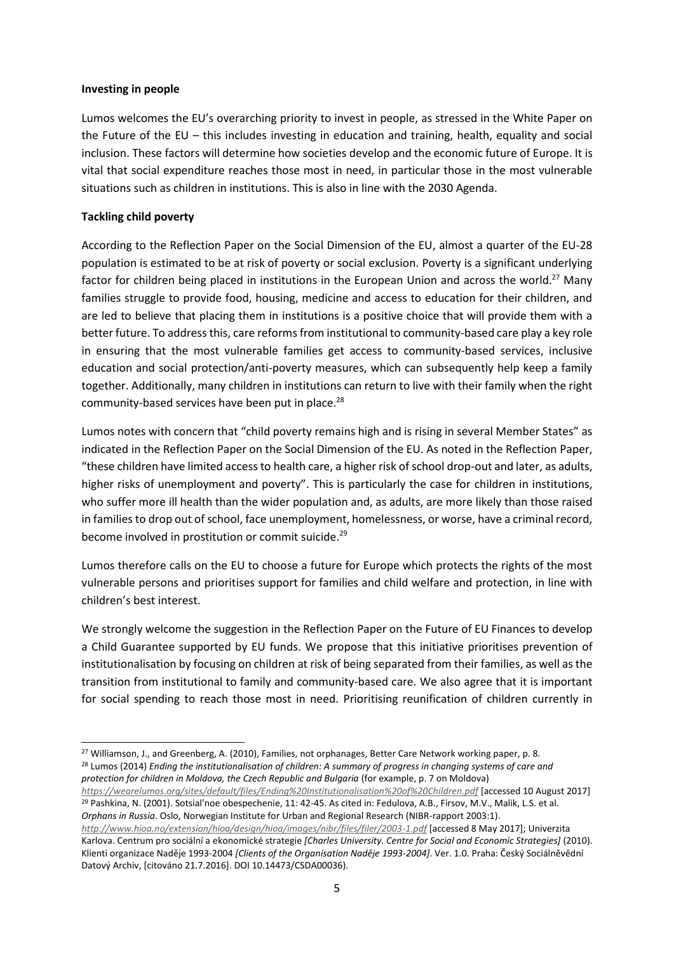#### **Investing in people**

Lumos welcomes the EU's overarching priority to invest in people, as stressed in the White Paper on the Future of the EU – this includes investing in education and training, health, equality and social inclusion. These factors will determine how societies develop and the economic future of Europe. It is vital that social expenditure reaches those most in need, in particular those in the most vulnerable situations such as children in institutions. This is also in line with the 2030 Agenda.

#### **Tackling child poverty**

According to the Reflection Paper on the Social Dimension of the EU, almost a quarter of the EU-28 population is estimated to be at risk of poverty or social exclusion. Poverty is a significant underlying factor for children being placed in institutions in the European Union and across the world.<sup>27</sup> Many families struggle to provide food, housing, medicine and access to education for their children, and are led to believe that placing them in institutions is a positive choice that will provide them with a better future. To address this, care reforms from institutional to community-based care play a key role in ensuring that the most vulnerable families get access to community-based services, inclusive education and social protection/anti-poverty measures, which can subsequently help keep a family together. Additionally, many children in institutions can return to live with their family when the right community-based services have been put in place.<sup>28</sup>

Lumos notes with concern that "child poverty remains high and is rising in several Member States" as indicated in the Reflection Paper on the Social Dimension of the EU. As noted in the Reflection Paper, "these children have limited access to health care, a higher risk of school drop-out and later, as adults, higher risks of unemployment and poverty". This is particularly the case for children in institutions, who suffer more ill health than the wider population and, as adults, are more likely than those raised in families to drop out of school, face unemployment, homelessness, or worse, have a criminal record, become involved in prostitution or commit suicide.<sup>29</sup>

Lumos therefore calls on the EU to choose a future for Europe which protects the rights of the most vulnerable persons and prioritises support for families and child welfare and protection, in line with children's best interest.

We strongly welcome the suggestion in the Reflection Paper on the Future of EU Finances to develop a Child Guarantee supported by EU funds. We propose that this initiative prioritises prevention of institutionalisation by focusing on children at risk of being separated from their families, as well as the transition from institutional to family and community-based care. We also agree that it is important for social spending to reach those most in need. Prioritising reunification of children currently in

<sup>&</sup>lt;sup>27</sup> Williamson, J., and Greenberg, A. (2010), Families, not orphanages, Better Care Network working paper, p. 8. <sup>28</sup> Lumos (2014) *Ending the institutionalisation of children: A summary of progress in changing systems of care and protection for children in Moldova, the Czech Republic and Bulgaria* (for example, p. 7 on Moldova)

*<https://wearelumos.org/sites/default/files/Ending%20Institutionalisation%20of%20Children.pdf>* [accessed 10 August 2017] <sup>29</sup> Pashkina, N. (2001). Sotsial'noe obespechenie, 11: 42-45. As cited in: Fedulova, A.B., Firsov, M.V., Malik, L.S. et al. *Orphans in Russia*. Oslo, Norwegian Institute for Urban and Regional Research (NIBR-rapport 2003:1).

*<http://www.hioa.no/extension/hioa/design/hioa/images/nibr/files/filer/2003-1.pdf>* [accessed 8 May 2017]; Univerzita Karlova. Centrum pro sociální a ekonomické strategie *[Charles University. Centre for Social and Economic Strategies]* (2010). Klienti organizace Naděje 1993-2004 *[Clients of the Organisation Naděje 1993-2004]*. Ver. 1.0. Praha: Český Sociálněvědní Datový Archiv, [citováno 21.7.2016]. DOI 10.14473/CSDA00036).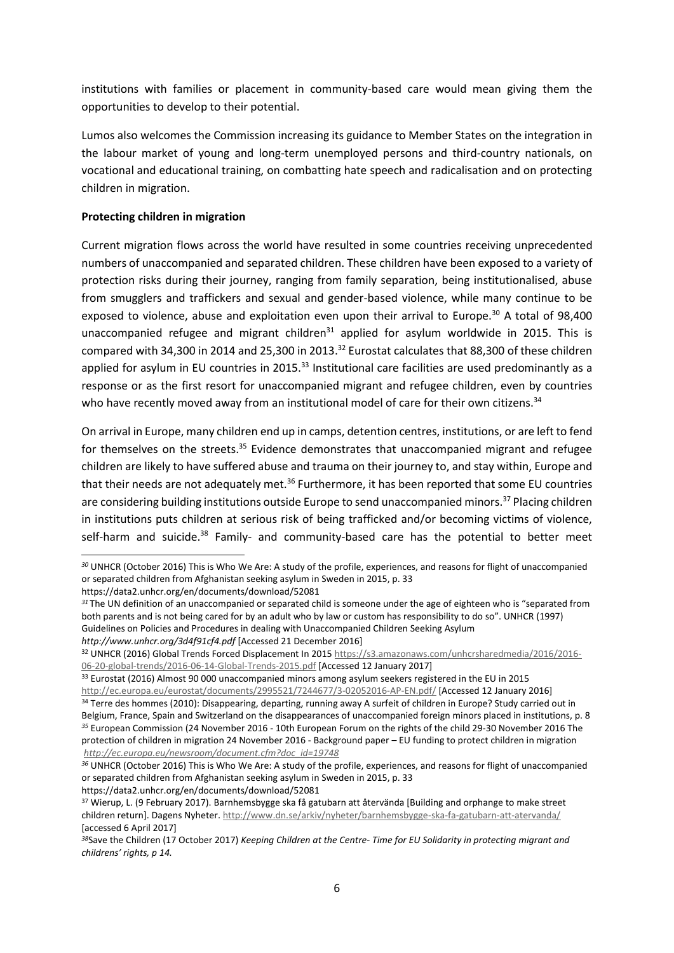institutions with families or placement in community-based care would mean giving them the opportunities to develop to their potential.

Lumos also welcomes the Commission increasing its guidance to Member States on the integration in the labour market of young and long-term unemployed persons and third-country nationals, on vocational and educational training, on combatting hate speech and radicalisation and on protecting children in migration.

### **Protecting children in migration**

Current migration flows across the world have resulted in some countries receiving unprecedented numbers of unaccompanied and separated children. These children have been exposed to a variety of protection risks during their journey, ranging from family separation, being institutionalised, abuse from smugglers and traffickers and sexual and gender-based violence, while many continue to be exposed to violence, abuse and exploitation even upon their arrival to Europe.<sup>30</sup> A total of 98,400 unaccompanied refugee and migrant children<sup>31</sup> applied for asylum worldwide in 2015. This is compared with 34,300 in 2014 and 25,300 in 2013.<sup>32</sup> Eurostat calculates that 88,300 of these children applied for asylum in EU countries in 2015.<sup>33</sup> Institutional care facilities are used predominantly as a response or as the first resort for unaccompanied migrant and refugee children, even by countries who have recently moved away from an institutional model of care for their own citizens.<sup>34</sup>

On arrival in Europe, many children end up in camps, detention centres, institutions, or are left to fend for themselves on the streets.<sup>35</sup> Evidence demonstrates that unaccompanied migrant and refugee children are likely to have suffered abuse and trauma on their journey to, and stay within, Europe and that their needs are not adequately met.<sup>36</sup> Furthermore, it has been reported that some EU countries are considering building institutions outside Europe to send unaccompanied minors.<sup>37</sup> Placing children in institutions puts children at serious risk of being trafficked and/or becoming victims of violence, self-harm and suicide.<sup>38</sup> Family- and community-based care has the potential to better meet

*<sup>30</sup>* UNHCR (October 2016) This is Who We Are: A study of the profile, experiences, and reasons for flight of unaccompanied or separated children from Afghanistan seeking asylum in Sweden in 2015, p. 33

https://data2.unhcr.org/en/documents/download/52081

*<sup>31</sup>* The UN definition of an unaccompanied or separated child is someone under the age of eighteen who is "separated from both parents and is not being cared for by an adult who by law or custom has responsibility to do so". UNHCR (1997) Guidelines on Policies and Procedures in dealing with Unaccompanied Children Seeking Asylum *<http://www.unhcr.org/3d4f91cf4.pdf>* [Accessed 21 December 2016]

<sup>32</sup> UNHCR (2016) Global Trends Forced Displacement In 201[5 https://s3.amazonaws.com/unhcrsharedmedia/2016/2016-](https://s3.amazonaws.com/unhcrsharedmedia/2016/2016-06-20-global-trends/2016-06-14-Global-Trends-2015.pdf) [06-20-global-trends/2016-06-14-Global-Trends-2015.pdf](https://s3.amazonaws.com/unhcrsharedmedia/2016/2016-06-20-global-trends/2016-06-14-Global-Trends-2015.pdf) [Accessed 12 January 2017]

<sup>&</sup>lt;sup>33</sup> Eurostat (2016) Almost 90 000 unaccompanied minors among asylum seekers registered in the EU in 2015

<http://ec.europa.eu/eurostat/documents/2995521/7244677/3-02052016-AP-EN.pdf/> [Accessed 12 January 2016] 34 Terre des hommes (2010): Disappearing, departing, running away A surfeit of children in Europe? Study carried out in Belgium, France, Spain and Switzerland on the disappearances of unaccompanied foreign minors placed in institutions, p. 8 *<sup>35</sup>* European Commission (24 November 2016 - 10th European Forum on the rights of the child 29-30 November 2016 The protection of children in migration 24 November 2016 - Background paper – EU funding to protect children in migration *[http://ec.europa.eu/newsroom/document.cfm?doc\\_id=19748](http://ec.europa.eu/newsroom/document.cfm?doc_id=19748)*

*<sup>36</sup>* UNHCR (October 2016) This is Who We Are: A study of the profile, experiences, and reasons for flight of unaccompanied or separated children from Afghanistan seeking asylum in Sweden in 2015, p. 33 https://data2.unhcr.org/en/documents/download/52081

<sup>37</sup> Wierup, L. (9 February 2017). Barnhemsbygge ska få gatubarn att återvända [Building and orphange to make street children return]. Dagens Nyheter.<http://www.dn.se/arkiv/nyheter/barnhemsbygge-ska-fa-gatubarn-att-atervanda/> [accessed 6 April 2017]

*<sup>38</sup>*Save the Children (17 October 2017) *Keeping Children at the Centre- Time for EU Solidarity in protecting migrant and childrens' rights, p 14.*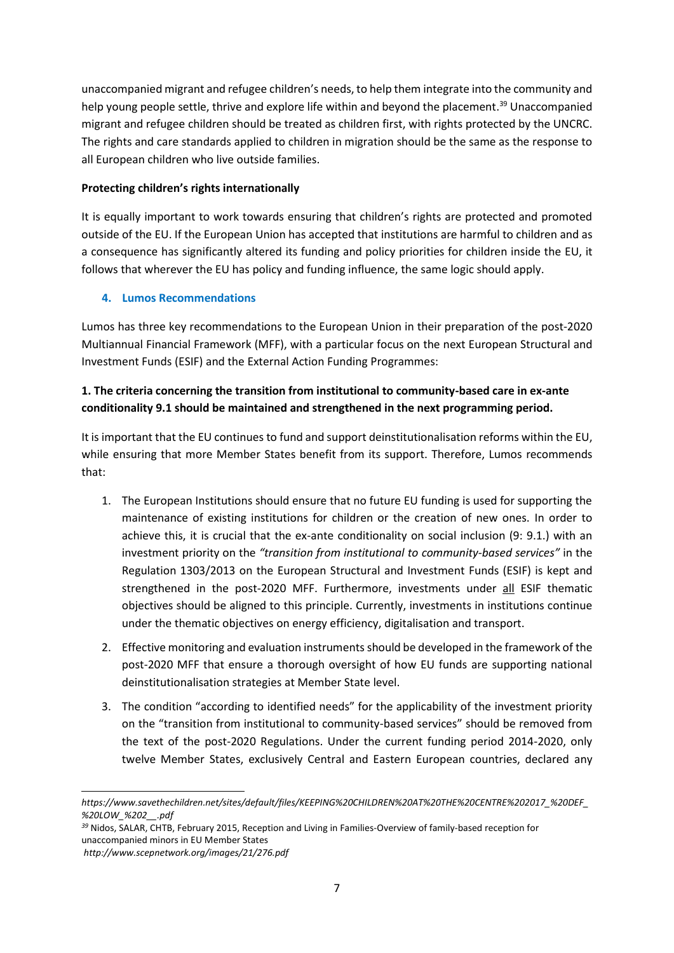unaccompanied migrant and refugee children's needs, to help them integrate into the community and help young people settle, thrive and explore life within and beyond the placement.<sup>39</sup> Unaccompanied migrant and refugee children should be treated as children first, with rights protected by the UNCRC. The rights and care standards applied to children in migration should be the same as the response to all European children who live outside families.

## **Protecting children's rights internationally**

It is equally important to work towards ensuring that children's rights are protected and promoted outside of the EU. If the European Union has accepted that institutions are harmful to children and as a consequence has significantly altered its funding and policy priorities for children inside the EU, it follows that wherever the EU has policy and funding influence, the same logic should apply.

## **4. Lumos Recommendations**

Lumos has three key recommendations to the European Union in their preparation of the post-2020 Multiannual Financial Framework (MFF), with a particular focus on the next European Structural and Investment Funds (ESIF) and the External Action Funding Programmes:

# **1. The criteria concerning the transition from institutional to community-based care in ex-ante conditionality 9.1 should be maintained and strengthened in the next programming period.**

It is important that the EU continues to fund and support deinstitutionalisation reforms within the EU, while ensuring that more Member States benefit from its support. Therefore, Lumos recommends that:

- 1. The European Institutions should ensure that no future EU funding is used for supporting the maintenance of existing institutions for children or the creation of new ones. In order to achieve this, it is crucial that the ex-ante conditionality on social inclusion (9: 9.1.) with an investment priority on the *"transition from institutional to community-based services"* in the Regulation 1303/2013 on the European Structural and Investment Funds (ESIF) is kept and strengthened in the post-2020 MFF. Furthermore, investments under all ESIF thematic objectives should be aligned to this principle. Currently, investments in institutions continue under the thematic objectives on energy efficiency, digitalisation and transport.
- 2. Effective monitoring and evaluation instruments should be developed in the framework of the post-2020 MFF that ensure a thorough oversight of how EU funds are supporting national deinstitutionalisation strategies at Member State level.
- 3. The condition "according to identified needs" for the applicability of the investment priority on the "transition from institutional to community-based services" should be removed from the text of the post-2020 Regulations. Under the current funding period 2014-2020, only twelve Member States, exclusively Central and Eastern European countries, declared any

*https://www.savethechildren.net/sites/default/files/KEEPING%20CHILDREN%20AT%20THE%20CENTRE%202017\_%20DEF\_ %20LOW\_%202\_\_.pdf*

*<sup>39</sup>* Nidos, SALAR, CHTB, February 2015, Reception and Living in Families-Overview of family-based reception for unaccompanied minors in EU Member States

*http://www.scepnetwork.org/images/21/276.pdf*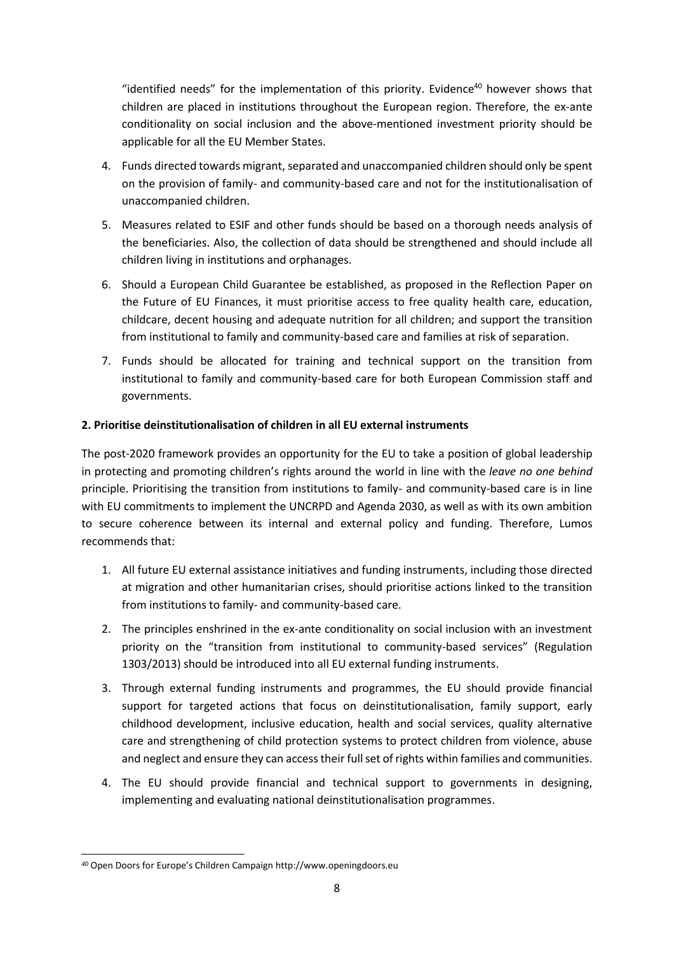"identified needs" for the implementation of this priority. Evidence $40$  however shows that children are placed in institutions throughout the European region. Therefore, the ex-ante conditionality on social inclusion and the above-mentioned investment priority should be applicable for all the EU Member States.

- 4. Funds directed towards migrant, separated and unaccompanied children should only be spent on the provision of family- and community-based care and not for the institutionalisation of unaccompanied children.
- 5. Measures related to ESIF and other funds should be based on a thorough needs analysis of the beneficiaries. Also, the collection of data should be strengthened and should include all children living in institutions and orphanages.
- 6. Should a European Child Guarantee be established, as proposed in the Reflection Paper on the Future of EU Finances, it must prioritise access to free quality health care, education, childcare, decent housing and adequate nutrition for all children; and support the transition from institutional to family and community-based care and families at risk of separation.
- 7. Funds should be allocated for training and technical support on the transition from institutional to family and community-based care for both European Commission staff and governments.

## **2. Prioritise deinstitutionalisation of children in all EU external instruments**

The post-2020 framework provides an opportunity for the EU to take a position of global leadership in protecting and promoting children's rights around the world in line with the *leave no one behind*  principle. Prioritising the transition from institutions to family- and community-based care is in line with EU commitments to implement the UNCRPD and Agenda 2030, as well as with its own ambition to secure coherence between its internal and external policy and funding. Therefore, Lumos recommends that:

- 1. All future EU external assistance initiatives and funding instruments, including those directed at migration and other humanitarian crises, should prioritise actions linked to the transition from institutions to family- and community-based care.
- 2. The principles enshrined in the ex-ante conditionality on social inclusion with an investment priority on the "transition from institutional to community-based services" (Regulation 1303/2013) should be introduced into all EU external funding instruments.
- 3. Through external funding instruments and programmes, the EU should provide financial support for targeted actions that focus on deinstitutionalisation, family support, early childhood development, inclusive education, health and social services, quality alternative care and strengthening of child protection systems to protect children from violence, abuse and neglect and ensure they can access their full set of rights within families and communities.
- 4. The EU should provide financial and technical support to governments in designing, implementing and evaluating national deinstitutionalisation programmes.

*<sup>40</sup>* Open Doors for Europe's Children Campaign [http://www.openingdoors.eu](http://www.openingdoors.eu/)